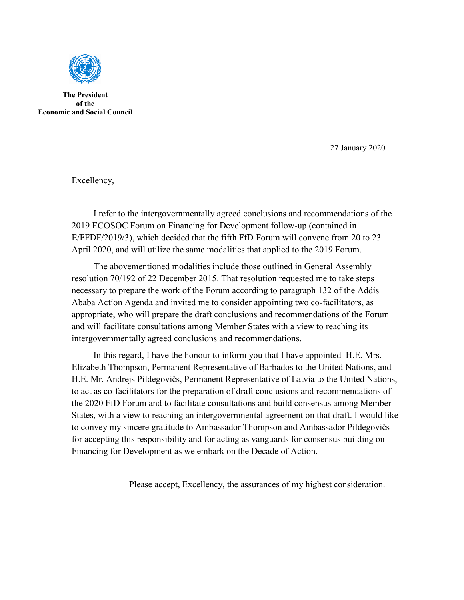

**The President of the Economic and Social Council**

27 January 2020

Excellency,

 I refer to the intergovernmentally agreed conclusions and recommendations of the 2019 ECOSOC Forum on Financing for Development follow-up (contained in E/FFDF/2019/3), which decided that the fifth FfD Forum will convene from 20 to 23 April 2020, and will utilize the same modalities that applied to the 2019 Forum.

 The abovementioned modalities include those outlined in General Assembly resolution 70/192 of 22 December 2015. That resolution requested me to take steps necessary to prepare the work of the Forum according to paragraph 132 of the Addis Ababa Action Agenda and invited me to consider appointing two co-facilitators, as appropriate, who will prepare the draft conclusions and recommendations of the Forum and will facilitate consultations among Member States with a view to reaching its intergovernmentally agreed conclusions and recommendations.

 In this regard, I have the honour to inform you that I have appointed H.E. Mrs. Elizabeth Thompson, Permanent Representative of Barbados to the United Nations, and H.E. Mr. Andrejs Pildegovičs, Permanent Representative of Latvia to the United Nations, to act as co-facilitators for the preparation of draft conclusions and recommendations of the 2020 FfD Forum and to facilitate consultations and build consensus among Member States, with a view to reaching an intergovernmental agreement on that draft. I would like to convey my sincere gratitude to Ambassador Thompson and Ambassador Pildegovičs for accepting this responsibility and for acting as vanguards for consensus building on Financing for Development as we embark on the Decade of Action.

Please accept, Excellency, the assurances of my highest consideration.